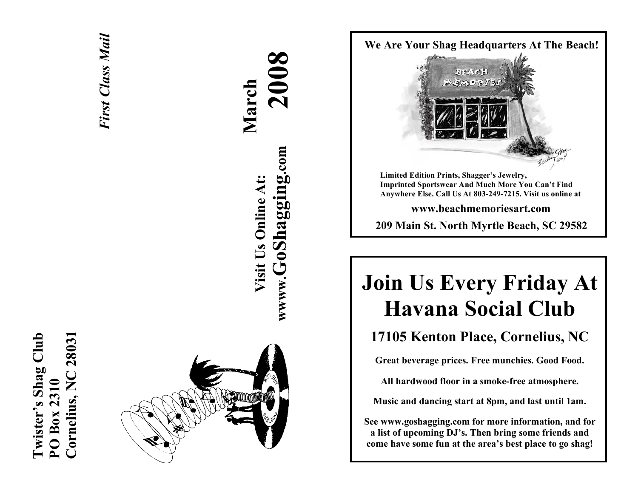## **Cornelius, NC 28031 Twister's Shag Club**  Twister's Shag Club 2803 Cornelius, NC **PO Box 2310**  PO Box 2310

*First Class Mail*  **First Class Mail** 



# **2008 March wwww.GoShagging.com** www.GoShagging.com **Visit Us Online At:** Visit Us Online At:



## **Join Us Every Friday At Havana Social Club**

## **17105 Kenton Place, Cornelius, NC**

**Great beverage prices. Free munchies. Good Food.** 

**All hardwood floor in a smoke-free atmosphere.** 

**Music and dancing start at 8pm, and last until 1am.** 

**See www.goshagging.com for more information, and for a list of upcoming DJ's. Then bring some friends and come have some fun at the area's best place to go shag!**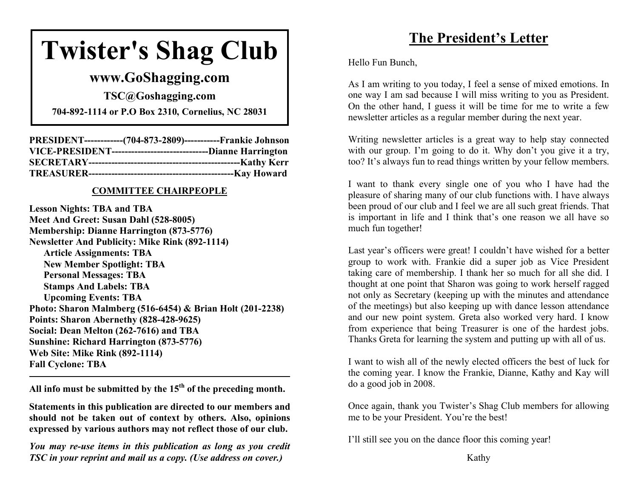## **Twister's Shag Club**

## **www.GoShagging.com**

**TSC@Goshagging.com** 

**704-892-1114 or P.O Box 2310, Cornelius, NC 28031** 

| PRESIDENT-------------(704-873-2809)------------Frankie Johnson    |  |
|--------------------------------------------------------------------|--|
| VICE-PRESIDENT-----------------------------------Dianne Harrington |  |
|                                                                    |  |
|                                                                    |  |

#### **COMMITTEE CHAIRPEOPLE**

**Lesson Nights: TBA and TBA Meet And Greet: Susan Dahl (528-8005) Membership: Dianne Harrington (873-5776) Newsletter And Publicity: Mike Rink (892-1114) Article Assignments: TBA New Member Spotlight: TBA Personal Messages: TBA Stamps And Labels: TBA Upcoming Events: TBA Photo: Sharon Malmberg (516-6454) & Brian Holt (201-2238) Points: Sharon Abernethy (828-428-9625) Social: Dean Melton (262-7616) and TBA Sunshine: Richard Harrington (873-5776) Web Site: Mike Rink (892-1114) Fall Cyclone: TBA** 

**All info must be submitted by the 15th of the preceding month.** 

**Statements in this publication are directed to our members and should not be taken out of context by others. Also, opinions expressed by various authors may not reflect those of our club.** 

*You may re-use items in this publication as long as you credit TSC in your reprint and mail us a copy. (Use address on cover.)* 

## **The President's Letter**

Hello Fun Bunch,

As I am writing to you today, I feel a sense of mixed emotions. In one way I am sad because I will miss writing to you as President. On the other hand, I guess it will be time for me to write a few newsletter articles as a regular member during the next year.

Writing newsletter articles is a great way to help stay connected with our group. I'm going to do it. Why don't you give it a try, too? It's always fun to read things written by your fellow members.

I want to thank every single one of you who I have had the pleasure of sharing many of our club functions with. I have always been proud of our club and I feel we are all such great friends. That is important in life and I think that's one reason we all have so much fun together!

Last year's officers were great! I couldn't have wished for a better group to work with. Frankie did a super job as Vice President taking care of membership. I thank her so much for all she did. I thought at one point that Sharon was going to work herself ragged not only as Secretary (keeping up with the minutes and attendance of the meetings) but also keeping up with dance lesson attendance and our new point system. Greta also worked very hard. I know from experience that being Treasurer is one of the hardest jobs. Thanks Greta for learning the system and putting up with all of us.

I want to wish all of the newly elected officers the best of luck for the coming year. I know the Frankie, Dianne, Kathy and Kay will do a good job in 2008.

Once again, thank you Twister's Shag Club members for allowing me to be your President. You're the best!

I'll still see you on the dance floor this coming year!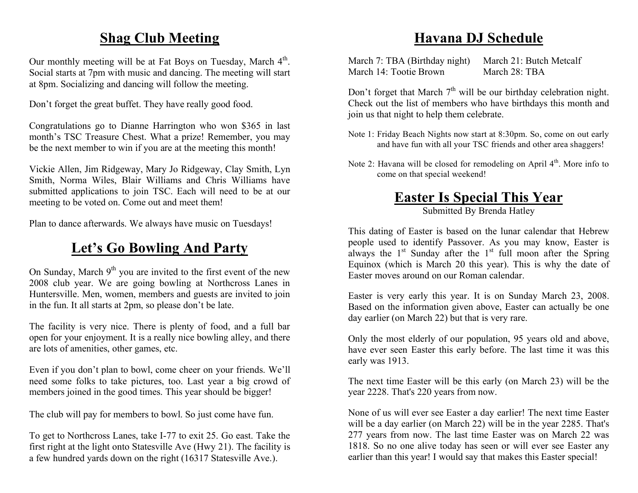## **Shag Club Meeting**

Our monthly meeting will be at Fat Boys on Tuesday, March 4<sup>th</sup>. Social starts at 7pm with music and dancing. The meeting will start at 8pm. Socializing and dancing will follow the meeting.

Don't forget the great buffet. They have really good food.

Congratulations go to Dianne Harrington who won \$365 in last month's TSC Treasure Chest. What a prize! Remember, you may be the next member to win if you are at the meeting this month!

Vickie Allen, Jim Ridgeway, Mary Jo Ridgeway, Clay Smith, Lyn Smith, Norma Wiles, Blair Williams and Chris Williams have submitted applications to join TSC. Each will need to be at our meeting to be voted on. Come out and meet them!

Plan to dance afterwards. We always have music on Tuesdays!

## **Let's Go Bowling And Party**

On Sunday, March  $9<sup>th</sup>$  you are invited to the first event of the new 2008 club year. We are going bowling at Northcross Lanes in Huntersville. Men, women, members and guests are invited to join in the fun. It all starts at 2pm, so please don't be late.

The facility is very nice. There is plenty of food, and a full bar open for your enjoyment. It is a really nice bowling alley, and there are lots of amenities, other games, etc.

Even if you don't plan to bowl, come cheer on your friends. We'll need some folks to take pictures, too. Last year a big crowd of members joined in the good times. This year should be bigger!

The club will pay for members to bowl. So just come have fun.

To get to Northcross Lanes, take I-77 to exit 25. Go east. Take the first right at the light onto Statesville Ave (Hwy 21). The facility is a few hundred yards down on the right (16317 Statesville Ave.).

## **Havana DJ Schedule**

March 7: TBA (Birthday night) March 21: Butch Metcalf March 14: Tootie Brown March 28: TBA

Don't forget that March  $7<sup>th</sup>$  will be our birthday celebration night. Check out the list of members who have birthdays this month and join us that night to help them celebrate.

- Note 1: Friday Beach Nights now start at 8:30pm. So, come on out early and have fun with all your TSC friends and other area shaggers!
- Note 2: Havana will be closed for remodeling on April  $4<sup>th</sup>$ . More info to come on that special weekend!

## **Easter Is Special This Year**

Submitted By Brenda Hatley

This dating of Easter is based on the lunar calendar that Hebrew people used to identify Passover. As you may know, Easter is always the  $1<sup>st</sup>$  Sunday after the  $1<sup>st</sup>$  full moon after the Spring Equinox (which is March 20 this year). This is why the date of Easter moves around on our Roman calendar.

Easter is very early this year. It is on Sunday March 23, 2008. Based on the information given above, Easter can actually be one day earlier (on March 22) but that is very rare.

Only the most elderly of our population, 95 years old and above, have ever seen Easter this early before. The last time it was this early was 1913.

The next time Easter will be this early (on March 23) will be the year 2228. That's 220 years from now.

None of us will ever see Easter a day earlier! The next time Easter will be a day earlier (on March 22) will be in the year 2285. That's 277 years from now. The last time Easter was on March 22 was 1818. So no one alive today has seen or will ever see Easter any earlier than this year! I would say that makes this Easter special!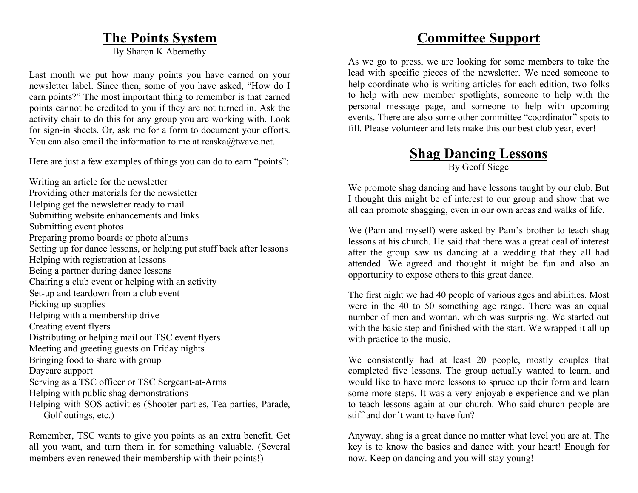### **The Points System**

By Sharon K Abernethy

Last month we put how many points you have earned on your newsletter label. Since then, some of you have asked, "How do I earn points?" The most important thing to remember is that earned points cannot be credited to you if they are not turned in. Ask the activity chair to do this for any group you are working with. Look for sign-in sheets. Or, ask me for a form to document your efforts. You can also email the information to me at rcaska@twave.net.

Here are just a few examples of things you can do to earn "points":

Writing an article for the newsletter Providing other materials for the newsletter Helping get the newsletter ready to mail Submitting website enhancements and links Submitting event photos Preparing promo boards or photo albums Setting up for dance lessons, or helping put stuff back after lessons Helping with registration at lessons Being a partner during dance lessons Chairing a club event or helping with an activity Set-up and teardown from a club event Picking up supplies Helping with a membership drive Creating event flyers Distributing or helping mail out TSC event flyers Meeting and greeting guests on Friday nights Bringing food to share with group Daycare support Serving as a TSC officer or TSC Sergeant-at-Arms Helping with public shag demonstrations Helping with SOS activities (Shooter parties, Tea parties, Parade, Golf outings, etc.)

Remember, TSC wants to give you points as an extra benefit. Get all you want, and turn them in for something valuable. (Several members even renewed their membership with their points!)

## **Committee Support**

As we go to press, we are looking for some members to take the lead with specific pieces of the newsletter. We need someone to help coordinate who is writing articles for each edition, two folks to help with new member spotlights, someone to help with the personal message page, and someone to help with upcoming events. There are also some other committee "coordinator" spots to fill. Please volunteer and lets make this our best club year, ever!

## **Shag Dancing Lessons**

By Geoff Siege

We promote shag dancing and have lessons taught by our club. But I thought this might be of interest to our group and show that we all can promote shagging, even in our own areas and walks of life.

We (Pam and myself) were asked by Pam's brother to teach shag lessons at his church. He said that there was a great deal of interest after the group saw us dancing at a wedding that they all had attended. We agreed and thought it might be fun and also an opportunity to expose others to this great dance.

The first night we had 40 people of various ages and abilities. Most were in the 40 to 50 something age range. There was an equal number of men and woman, which was surprising. We started out with the basic step and finished with the start. We wrapped it all up with practice to the music.

We consistently had at least 20 people, mostly couples that completed five lessons. The group actually wanted to learn, and would like to have more lessons to spruce up their form and learn some more steps. It was a very enjoyable experience and we plan to teach lessons again at our church. Who said church people are stiff and don't want to have fun?

Anyway, shag is a great dance no matter what level you are at. The key is to know the basics and dance with your heart! Enough for now. Keep on dancing and you will stay young!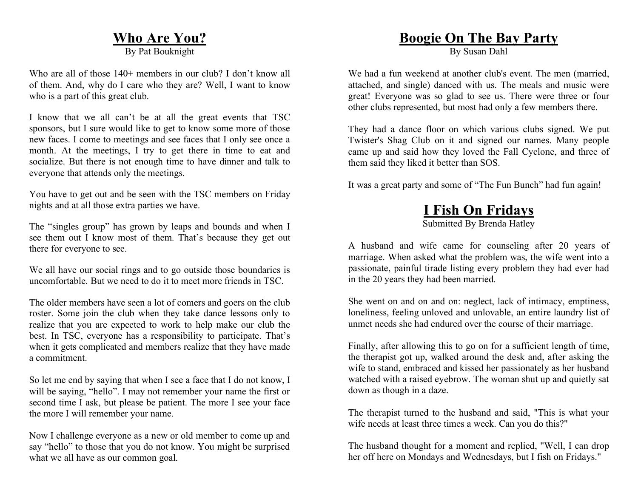### **Who Are You?**

By Pat Bouknight

Who are all of those 140+ members in our club? I don't know all of them. And, why do I care who they are? Well, I want to know who is a part of this great club.

I know that we all can't be at all the great events that TSC sponsors, but I sure would like to get to know some more of those new faces. I come to meetings and see faces that I only see once a month. At the meetings, I try to get there in time to eat and socialize. But there is not enough time to have dinner and talk to everyone that attends only the meetings.

You have to get out and be seen with the TSC members on Friday nights and at all those extra parties we have.

The "singles group" has grown by leaps and bounds and when I see them out I know most of them. That's because they get out there for everyone to see.

We all have our social rings and to go outside those boundaries is uncomfortable. But we need to do it to meet more friends in TSC.

The older members have seen a lot of comers and goers on the club roster. Some join the club when they take dance lessons only to realize that you are expected to work to help make our club the best. In TSC, everyone has a responsibility to participate. That's when it gets complicated and members realize that they have made a commitment.

So let me end by saying that when I see a face that I do not know, I will be saying, "hello". I may not remember your name the first or second time I ask, but please be patient. The more I see your face the more I will remember your name.

Now I challenge everyone as a new or old member to come up and say "hello" to those that you do not know. You might be surprised what we all have as our common goal.

## **Boogie On The Bay Party**

By Susan Dahl

We had a fun weekend at another club's event. The men (married, attached, and single) danced with us. The meals and music were great! Everyone was so glad to see us. There were three or four other clubs represented, but most had only a few members there.

They had a dance floor on which various clubs signed. We put Twister's Shag Club on it and signed our names. Many people came up and said how they loved the Fall Cyclone, and three of them said they liked it better than SOS.

It was a great party and some of "The Fun Bunch" had fun again!

## **I Fish On Fridays**

Submitted By Brenda Hatley

A husband and wife came for counseling after 20 years of marriage. When asked what the problem was, the wife went into a passionate, painful tirade listing every problem they had ever had in the 20 years they had been married.

She went on and on and on: neglect, lack of intimacy, emptiness, loneliness, feeling unloved and unlovable, an entire laundry list of unmet needs she had endured over the course of their marriage.

Finally, after allowing this to go on for a sufficient length of time, the therapist got up, walked around the desk and, after asking the wife to stand, embraced and kissed her passionately as her husband watched with a raised eyebrow. The woman shut up and quietly sat down as though in a daze.

The therapist turned to the husband and said, "This is what your wife needs at least three times a week. Can you do this?"

The husband thought for a moment and replied, "Well, I can drop her off here on Mondays and Wednesdays, but I fish on Fridays."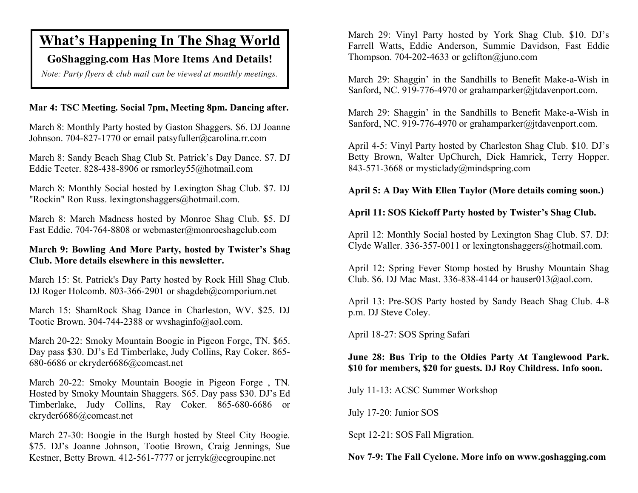## **What's Happening In The Shag World**

#### **GoShagging.com Has More Items And Details!**

*Note: Party flyers & club mail can be viewed at monthly meetings.* 

#### **Mar 4: TSC Meeting. Social 7pm, Meeting 8pm. Dancing after.**

March 8: Monthly Party hosted by Gaston Shaggers. \$6. DJ Joanne Johnson. 704-827-1770 or email patsyfuller@carolina.rr.com

March 8: Sandy Beach Shag Club St. Patrick's Day Dance. \$7. DJ Eddie Teeter. 828-438-8906 or rsmorley55@hotmail.com

March 8: Monthly Social hosted by Lexington Shag Club. \$7. DJ "Rockin" Ron Russ. lexingtonshaggers@hotmail.com.

March 8: March Madness hosted by Monroe Shag Club. \$5. DJ Fast Eddie. 704-764-8808 or webmaster@monroeshagclub.com

#### **March 9: Bowling And More Party, hosted by Twister's Shag Club. More details elsewhere in this newsletter.**

March 15: St. Patrick's Day Party hosted by Rock Hill Shag Club. DJ Roger Holcomb. 803-366-2901 or shagdeb@comporium.net

March 15: ShamRock Shag Dance in Charleston, WV. \$25. DJ Tootie Brown. 304-744-2388 or wvshaginfo@aol.com.

March 20-22: Smoky Mountain Boogie in Pigeon Forge, TN. \$65. Day pass \$30. DJ's Ed Timberlake, Judy Collins, Ray Coker. 865- 680-6686 or ckryder6686@comcast.net

March 20-22: Smoky Mountain Boogie in Pigeon Forge , TN. Hosted by Smoky Mountain Shaggers. \$65. Day pass \$30. DJ's Ed Timberlake, Judy Collins, Ray Coker. 865-680-6686 or ckryder6686@comcast.net

March 27-30: Boogie in the Burgh hosted by Steel City Boogie. \$75. DJ's Joanne Johnson, Tootie Brown, Craig Jennings, Sue Kestner, Betty Brown. 412-561-7777 or jerryk@ccgroupinc.net

March 29: Vinyl Party hosted by York Shag Club. \$10. DJ's Farrell Watts, Eddie Anderson, Summie Davidson, Fast Eddie Thompson. 704-202-4633 or gclifton $\omega$ juno.com

March 29: Shaggin' in the Sandhills to Benefit Make-a-Wish in Sanford, NC. 919-776-4970 or grahamparker@jtdavenport.com.

March 29: Shaggin' in the Sandhills to Benefit Make-a-Wish in Sanford, NC. 919-776-4970 or grahamparker@jtdavenport.com.

April 4-5: Vinyl Party hosted by Charleston Shag Club. \$10. DJ's Betty Brown, Walter UpChurch, Dick Hamrick, Terry Hopper. 843-571-3668 or mysticlady@mindspring.com

#### **April 5: A Day With Ellen Taylor (More details coming soon.)**

#### **April 11: SOS Kickoff Party hosted by Twister's Shag Club.**

April 12: Monthly Social hosted by Lexington Shag Club. \$7. DJ: Clyde Waller. 336-357-0011 or lexingtonshaggers@hotmail.com.

April 12: Spring Fever Stomp hosted by Brushy Mountain Shag Club. \$6. DJ Mac Mast. 336-838-4144 or hauser013@aol.com.

April 13: Pre-SOS Party hosted by Sandy Beach Shag Club. 4-8 p.m. DJ Steve Coley.

April 18-27: SOS Spring Safari

**June 28: Bus Trip to the Oldies Party At Tanglewood Park. \$10 for members, \$20 for guests. DJ Roy Childress. Info soon.** 

July 11-13: ACSC Summer Workshop

July 17-20: Junior SOS

Sept 12-21: SOS Fall Migration.

#### **Nov 7-9: The Fall Cyclone. More info on www.goshagging.com**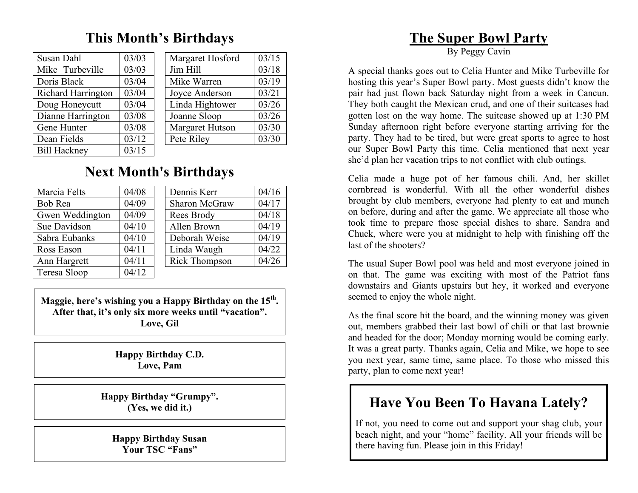## **This Month's Birthdays**

| 03/03 |
|-------|
| 03/03 |
| 03/04 |
| 03/04 |
| 03/04 |
| 03/08 |
| 03/08 |
| 03/12 |
| 03/15 |
|       |

| Susan Dahl                | 03/03                       | Margaret Hosford | 03/15 |
|---------------------------|-----------------------------|------------------|-------|
| Mike Turbeville           | 03/03                       | Jim Hill         | 03/18 |
| Doris Black               | 03/04                       | Mike Warren      | 03/19 |
| <b>Richard Harrington</b> | 03/04                       | Joyce Anderson   | 03/21 |
| Doug Honeycutt            | 03/04                       | Linda Hightower  | 03/26 |
| Dianne Harrington         | 03/08                       | Joanne Sloop     | 03/26 |
| Gene Hunter               | 03/08                       | Margaret Hutson  | 03/30 |
| Dean Fields               | 03/12                       | Pete Riley       | 03/30 |
| ------                    | $\sim$ $\sim$ $\sim$ $\sim$ |                  |       |

## **Next Month's Birthdays**

| Marcia Felts    | 04/08 |  | Dennis Kerr   | 04/16 |
|-----------------|-------|--|---------------|-------|
| Bob Rea         | 04/09 |  | Sharon McGraw | 04/17 |
| Gwen Weddington | 04/09 |  | Rees Brody    | 04/18 |
| Sue Davidson    | 04/10 |  | Allen Brown   | 04/19 |
| Sabra Eubanks   | 04/10 |  | Deborah Weise | 04/19 |
| Ross Eason      | 04/11 |  | Linda Waugh   | 04/22 |
| Ann Hargrett    | 04/11 |  | Rick Thompson | 04/26 |
| Teresa Sloop    | 04/12 |  |               |       |

**Maggie, here's wishing you a Happy Birthday on the 15th. After that, it's only six more weeks until "vacation". Love, Gil** 

> **Happy Birthday C.D. Love, Pam**

**Happy Birthday "Grumpy". (Yes, we did it.)** 

**Happy Birthday Susan Your TSC "Fans"** 

## **The Super Bowl Party**

By Peggy Cavin

A special thanks goes out to Celia Hunter and Mike Turbeville for hosting this year's Super Bowl party. Most guests didn't know the pair had just flown back Saturday night from a week in Cancun. They both caught the Mexican crud, and one of their suitcases had gotten lost on the way home. The suitcase showed up at 1:30 PM Sunday afternoon right before everyone starting arriving for the party. They had to be tired, but were great sports to agree to host our Super Bowl Party this time. Celia mentioned that next year she'd plan her vacation trips to not conflict with club outings.

Celia made a huge pot of her famous chili. And, her skillet cornbread is wonderful. With all the other wonderful dishes brought by club members, everyone had plenty to eat and munch on before, during and after the game. We appreciate all those who took time to prepare those special dishes to share. Sandra and Chuck, where were you at midnight to help with finishing off the last of the shooters?

The usual Super Bowl pool was held and most everyone joined in on that. The game was exciting with most of the Patriot fans downstairs and Giants upstairs but hey, it worked and everyone seemed to enjoy the whole night.

As the final score hit the board, and the winning money was given out, members grabbed their last bowl of chili or that last brownie and headed for the door; Monday morning would be coming early. It was a great party. Thanks again, Celia and Mike, we hope to see you next year, same time, same place. To those who missed this party, plan to come next year!

## **Have You Been To Havana Lately?**

If not, you need to come out and support your shag club, your beach night, and your "home" facility. All your friends will be there having fun. Please join in this Friday!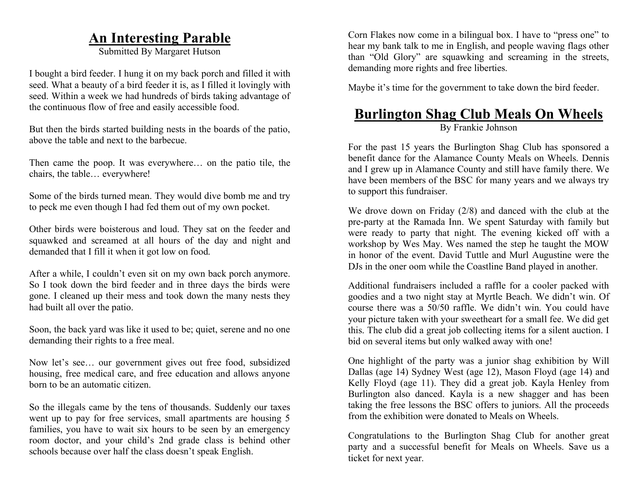## **An Interesting Parable**

Submitted By Margaret Hutson

I bought a bird feeder. I hung it on my back porch and filled it with seed. What a beauty of a bird feeder it is, as I filled it lovingly with seed. Within a week we had hundreds of birds taking advantage of the continuous flow of free and easily accessible food.

But then the birds started building nests in the boards of the patio, above the table and next to the barbecue.

Then came the poop. It was everywhere… on the patio tile, the chairs, the table… everywhere!

Some of the birds turned mean. They would dive bomb me and try to peck me even though I had fed them out of my own pocket.

Other birds were boisterous and loud. They sat on the feeder and squawked and screamed at all hours of the day and night and demanded that I fill it when it got low on food.

After a while, I couldn't even sit on my own back porch anymore. So I took down the bird feeder and in three days the birds were gone. I cleaned up their mess and took down the many nests they had built all over the patio.

Soon, the back yard was like it used to be; quiet, serene and no one demanding their rights to a free meal.

Now let's see… our government gives out free food, subsidized housing, free medical care, and free education and allows anyone born to be an automatic citizen.

So the illegals came by the tens of thousands. Suddenly our taxes went up to pay for free services, small apartments are housing 5 families, you have to wait six hours to be seen by an emergency room doctor, and your child's 2nd grade class is behind other schools because over half the class doesn't speak English.

Corn Flakes now come in a bilingual box. I have to "press one" to hear my bank talk to me in English, and people waving flags other than "Old Glory" are squawking and screaming in the streets, demanding more rights and free liberties.

Maybe it's time for the government to take down the bird feeder.

## **Burlington Shag Club Meals On Wheels**

By Frankie Johnson

For the past 15 years the Burlington Shag Club has sponsored a benefit dance for the Alamance County Meals on Wheels. Dennis and I grew up in Alamance County and still have family there. We have been members of the BSC for many years and we always try to support this fundraiser.

We drove down on Friday (2/8) and danced with the club at the pre-party at the Ramada Inn. We spent Saturday with family but were ready to party that night. The evening kicked off with a workshop by Wes May. Wes named the step he taught the MOW in honor of the event. David Tuttle and Murl Augustine were the DJs in the oner oom while the Coastline Band played in another.

Additional fundraisers included a raffle for a cooler packed with goodies and a two night stay at Myrtle Beach. We didn't win. Of course there was a 50/50 raffle. We didn't win. You could have your picture taken with your sweetheart for a small fee. We did get this. The club did a great job collecting items for a silent auction. I bid on several items but only walked away with one!

One highlight of the party was a junior shag exhibition by Will Dallas (age 14) Sydney West (age 12), Mason Floyd (age 14) and Kelly Floyd (age 11). They did a great job. Kayla Henley from Burlington also danced. Kayla is a new shagger and has been taking the free lessons the BSC offers to juniors. All the proceeds from the exhibition were donated to Meals on Wheels.

Congratulations to the Burlington Shag Club for another great party and a successful benefit for Meals on Wheels. Save us a ticket for next year.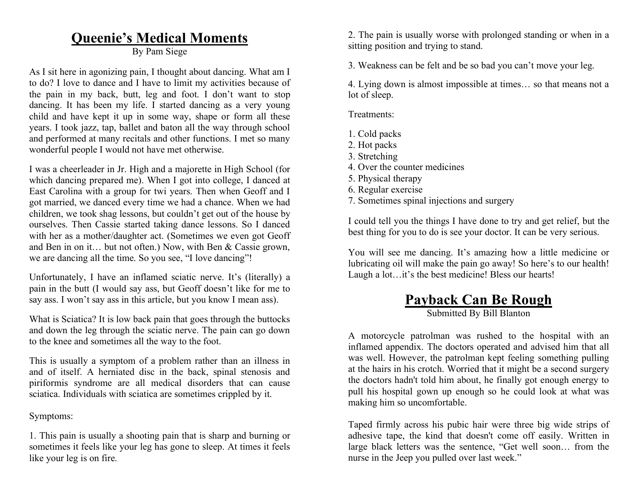## **Queenie's Medical Moments**

By Pam Siege

As I sit here in agonizing pain, I thought about dancing. What am I to do? I love to dance and I have to limit my activities because of the pain in my back, butt, leg and foot. I don't want to stop dancing. It has been my life. I started dancing as a very young child and have kept it up in some way, shape or form all these years. I took jazz, tap, ballet and baton all the way through school and performed at many recitals and other functions. I met so many wonderful people I would not have met otherwise.

I was a cheerleader in Jr. High and a majorette in High School (for which dancing prepared me). When I got into college, I danced at East Carolina with a group for twi years. Then when Geoff and I got married, we danced every time we had a chance. When we had children, we took shag lessons, but couldn't get out of the house by ourselves. Then Cassie started taking dance lessons. So I danced with her as a mother/daughter act. (Sometimes we even got Geoff and Ben in on it… but not often.) Now, with Ben & Cassie grown, we are dancing all the time. So you see, "I love dancing"!

Unfortunately, I have an inflamed sciatic nerve. It's (literally) a pain in the butt (I would say ass, but Geoff doesn't like for me to say ass. I won't say ass in this article, but you know I mean ass).

What is Sciatica? It is low back pain that goes through the buttocks and down the leg through the sciatic nerve. The pain can go down to the knee and sometimes all the way to the foot.

This is usually a symptom of a problem rather than an illness in and of itself. A herniated disc in the back, spinal stenosis and piriformis syndrome are all medical disorders that can cause sciatica. Individuals with sciatica are sometimes crippled by it.

Symptoms:

1. This pain is usually a shooting pain that is sharp and burning or sometimes it feels like your leg has gone to sleep. At times it feels like your leg is on fire.

2. The pain is usually worse with prolonged standing or when in a sitting position and trying to stand.

3. Weakness can be felt and be so bad you can't move your leg.

4. Lying down is almost impossible at times… so that means not a lot of sleep.

Treatments:

- 1. Cold packs
- 2. Hot packs
- 3. Stretching
- 4. Over the counter medicines
- 5. Physical therapy
- 6. Regular exercise
- 7. Sometimes spinal injections and surgery

I could tell you the things I have done to try and get relief, but the best thing for you to do is see your doctor. It can be very serious.

You will see me dancing. It's amazing how a little medicine or lubricating oil will make the pain go away! So here's to our health! Laugh a lot...it's the best medicine! Bless our hearts!

## **Payback Can Be Rough**

Submitted By Bill Blanton

A motorcycle patrolman was rushed to the hospital with an inflamed appendix. The doctors operated and advised him that all was well. However, the patrolman kept feeling something pulling at the hairs in his crotch. Worried that it might be a second surgery the doctors hadn't told him about, he finally got enough energy to pull his hospital gown up enough so he could look at what was making him so uncomfortable.

Taped firmly across his pubic hair were three big wide strips of adhesive tape, the kind that doesn't come off easily. Written in large black letters was the sentence, "Get well soon… from the nurse in the Jeep you pulled over last week."